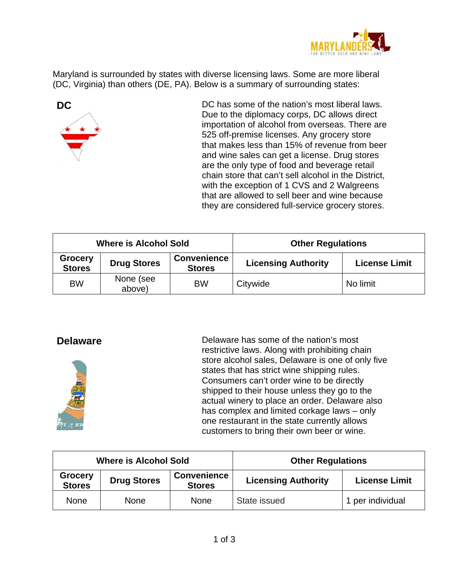

Maryland is surrounded by states with diverse licensing laws. Some are more liberal (DC, Virginia) than others (DE, PA). Below is a summary of surrounding states:



**DC** DC has some of the nation's most liberal laws. Due to the diplomacy corps, DC allows direct importation of alcohol from overseas. There are 525 off-premise licenses. Any grocery store that makes less than 15% of revenue from beer and wine sales can get a license. Drug stores are the only type of food and beverage retail chain store that can't sell alcohol in the District, with the exception of 1 CVS and 2 Walgreens that are allowed to sell beer and wine because they are considered full-service grocery stores.

| <b>Where is Alcohol Sold</b>    |                     |                                     | <b>Other Regulations</b>   |                      |
|---------------------------------|---------------------|-------------------------------------|----------------------------|----------------------|
| <b>Grocery</b><br><b>Stores</b> | <b>Drug Stores</b>  | <b>Convenience</b><br><b>Stores</b> | <b>Licensing Authority</b> | <b>License Limit</b> |
| <b>BW</b>                       | None (see<br>above) | <b>BW</b>                           | Citywide                   | No limit             |



**Delaware Delaware has some of the nation's most** restrictive laws. Along with prohibiting chain store alcohol sales, Delaware is one of only five states that has strict wine shipping rules. Consumers can't order wine to be directly shipped to their house unless they go to the actual winery to place an order. Delaware also has complex and limited corkage laws – only one restaurant in the state currently allows customers to bring their own beer or wine.

| <b>Where is Alcohol Sold</b>    |                    |                                     | <b>Other Regulations</b>   |                      |
|---------------------------------|--------------------|-------------------------------------|----------------------------|----------------------|
| <b>Grocery</b><br><b>Stores</b> | <b>Drug Stores</b> | <b>Convenience</b><br><b>Stores</b> | <b>Licensing Authority</b> | <b>License Limit</b> |
| <b>None</b>                     | <b>None</b>        | <b>None</b>                         | State issued               | 1 per individual     |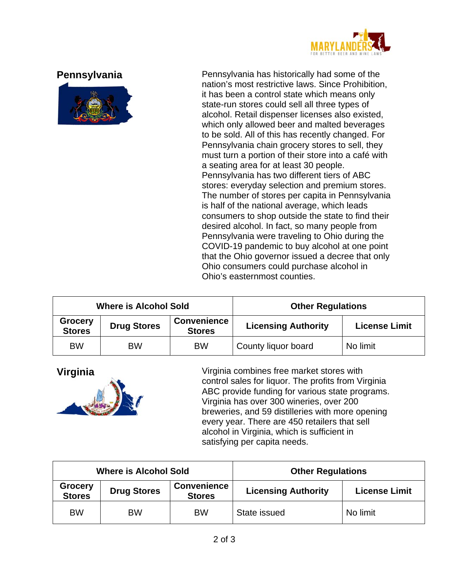



**Pennsylvania** Pennsylvania has historically had some of the nation's most restrictive laws. Since Prohibition, it has been a control state which means only state-run stores could sell all three types of alcohol. Retail dispenser licenses also existed, which only allowed beer and malted beverages to be sold. All of this has recently changed. For Pennsylvania chain grocery stores to sell, they must turn a portion of their store into a café with a seating area for at least 30 people. Pennsylvania has two different tiers of ABC stores: everyday selection and premium stores. The number of stores per capita in Pennsylvania is half of the national average, which leads consumers to shop outside the state to find their desired alcohol. In fact, so many people from Pennsylvania were traveling to Ohio during the COVID-19 pandemic to buy alcohol at one point that the Ohio governor issued a decree that only Ohio consumers could purchase alcohol in Ohio's easternmost counties.

| <b>Where is Alcohol Sold</b>    |                    |                                     | <b>Other Regulations</b>   |                      |
|---------------------------------|--------------------|-------------------------------------|----------------------------|----------------------|
| <b>Grocery</b><br><b>Stores</b> | <b>Drug Stores</b> | <b>Convenience</b><br><b>Stores</b> | <b>Licensing Authority</b> | <b>License Limit</b> |
| <b>BW</b>                       | <b>BW</b>          | <b>BW</b>                           | County liquor board        | No limit             |



**Virginia Virginia combines free market stores with** control sales for liquor. The profits from Virginia ABC provide funding for various state programs. Virginia has over 300 wineries, over 200 breweries, and 59 distilleries with more opening every year. There are 450 retailers that sell alcohol in Virginia, which is sufficient in satisfying per capita needs.

| <b>Where is Alcohol Sold</b> |                                 |                    |                                     | <b>Other Regulations</b>   |                      |
|------------------------------|---------------------------------|--------------------|-------------------------------------|----------------------------|----------------------|
|                              | <b>Grocery</b><br><b>Stores</b> | <b>Drug Stores</b> | <b>Convenience</b><br><b>Stores</b> | <b>Licensing Authority</b> | <b>License Limit</b> |
|                              | <b>BW</b>                       | <b>BW</b>          | <b>BW</b>                           | State issued               | No limit             |